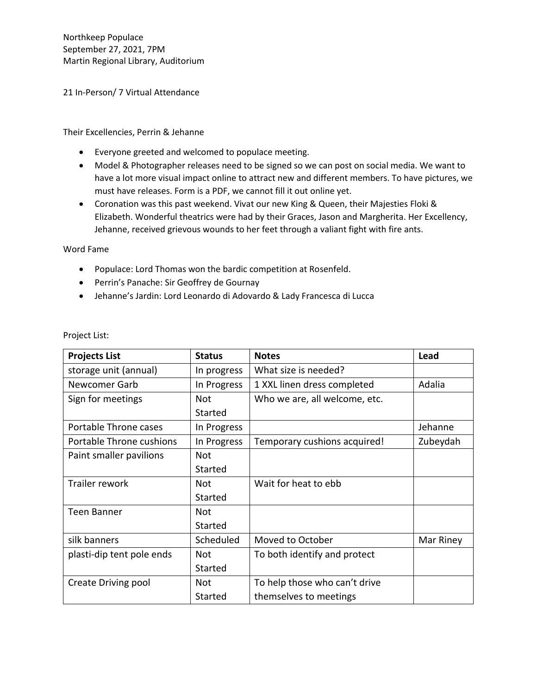Northkeep Populace September 27, 2021, 7PM Martin Regional Library, Auditorium

21 In-Person/ 7 Virtual Attendance

Their Excellencies, Perrin & Jehanne

- Everyone greeted and welcomed to populace meeting.
- Model & Photographer releases need to be signed so we can post on social media. We want to have a lot more visual impact online to attract new and different members. To have pictures, we must have releases. Form is a PDF, we cannot fill it out online yet.
- Coronation was this past weekend. Vivat our new King & Queen, their Majesties Floki & Elizabeth. Wonderful theatrics were had by their Graces, Jason and Margherita. Her Excellency, Jehanne, received grievous wounds to her feet through a valiant fight with fire ants.

Word Fame

- Populace: Lord Thomas won the bardic competition at Rosenfeld.
- Perrin's Panache: Sir Geoffrey de Gournay
- Jehanne's Jardin: Lord Leonardo di Adovardo & Lady Francesca di Lucca

| <b>Projects List</b>      | <b>Status</b>  | <b>Notes</b>                  | Lead      |
|---------------------------|----------------|-------------------------------|-----------|
| storage unit (annual)     | In progress    | What size is needed?          |           |
| Newcomer Garb             | In Progress    | 1 XXL linen dress completed   | Adalia    |
| Sign for meetings         | <b>Not</b>     | Who we are, all welcome, etc. |           |
|                           | Started        |                               |           |
| Portable Throne cases     | In Progress    |                               | Jehanne   |
| Portable Throne cushions  | In Progress    | Temporary cushions acquired!  | Zubeydah  |
| Paint smaller pavilions   | <b>Not</b>     |                               |           |
|                           | Started        |                               |           |
| Trailer rework            | Not            | Wait for heat to ebb          |           |
|                           | Started        |                               |           |
| <b>Teen Banner</b>        | Not            |                               |           |
|                           | Started        |                               |           |
| silk banners              | Scheduled      | Moved to October              | Mar Riney |
| plasti-dip tent pole ends | Not            | To both identify and protect  |           |
|                           | <b>Started</b> |                               |           |
| Create Driving pool       | Not            | To help those who can't drive |           |
|                           | <b>Started</b> | themselves to meetings        |           |

Project List: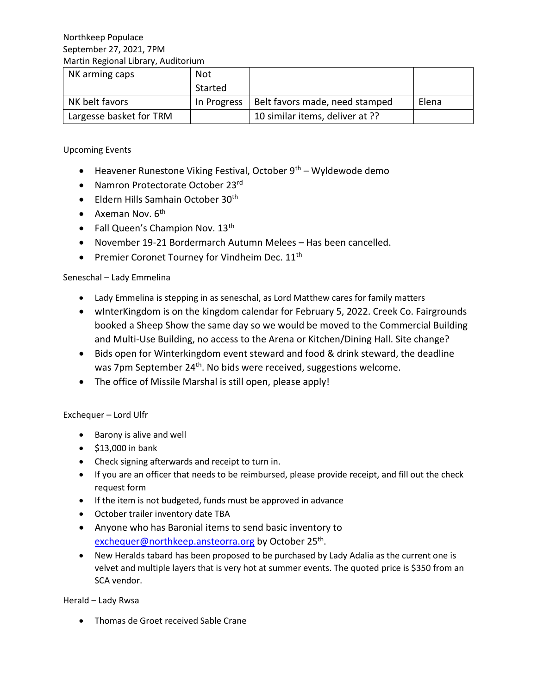| NK arming caps          | <b>Not</b>  |                                 |       |
|-------------------------|-------------|---------------------------------|-------|
|                         | Started     |                                 |       |
| NK belt favors          | In Progress | Belt favors made, need stamped  | Elena |
| Largesse basket for TRM |             | 10 similar items, deliver at ?? |       |

Upcoming Events

- Heavener Runestone Viking Festival, October  $9<sup>th</sup>$  Wyldewode demo
- Namron Protectorate October 23rd
- Eldern Hills Samhain October 30<sup>th</sup>
- Axeman Nov.  $6<sup>th</sup>$
- Fall Queen's Champion Nov. 13<sup>th</sup>
- November 19-21 Bordermarch Autumn Melees Has been cancelled.
- Premier Coronet Tourney for Vindheim Dec. 11<sup>th</sup>

# Seneschal – Lady Emmelina

- Lady Emmelina is stepping in as seneschal, as Lord Matthew cares for family matters
- wInterKingdom is on the kingdom calendar for February 5, 2022. Creek Co. Fairgrounds booked a Sheep Show the same day so we would be moved to the Commercial Building and Multi-Use Building, no access to the Arena or Kitchen/Dining Hall. Site change?
- Bids open for Winterkingdom event steward and food & drink steward, the deadline was 7pm September 24<sup>th</sup>. No bids were received, suggestions welcome.
- The office of Missile Marshal is still open, please apply!

# Exchequer – Lord Ulfr

- Barony is alive and well
- \$13,000 in bank
- Check signing afterwards and receipt to turn in.
- If you are an officer that needs to be reimbursed, please provide receipt, and fill out the check request form
- If the item is not budgeted, funds must be approved in advance
- October trailer inventory date TBA
- Anyone who has Baronial items to send basic inventory to [exchequer@northkeep.ansteorra.org](mailto:exchequer@northkeep.ansteorra.org) by October 25<sup>th</sup>.
- New Heralds tabard has been proposed to be purchased by Lady Adalia as the current one is velvet and multiple layers that is very hot at summer events. The quoted price is \$350 from an SCA vendor.

Herald – Lady Rwsa

• Thomas de Groet received Sable Crane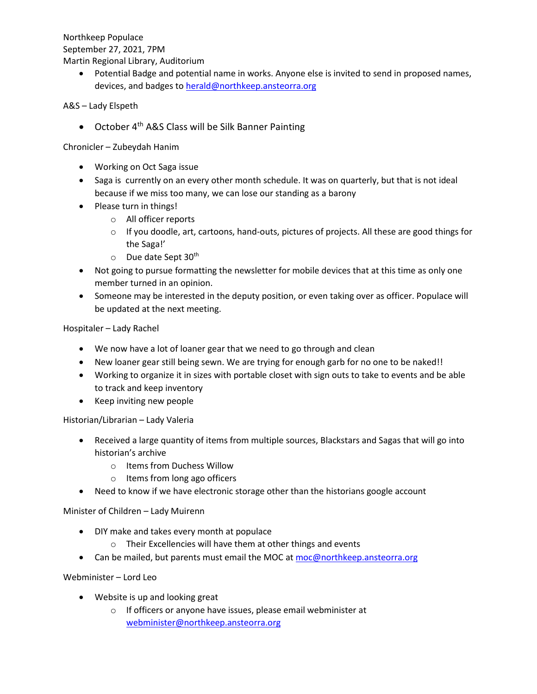Northkeep Populace September 27, 2021, 7PM Martin Regional Library, Auditorium

> • Potential Badge and potential name in works. Anyone else is invited to send in proposed names, devices, and badges to [herald@northkeep.ansteorra.org](mailto:herald@northkeep.ansteorra.org)

# A&S – Lady Elspeth

• October  $4<sup>th</sup>$  A&S Class will be Silk Banner Painting

Chronicler – Zubeydah Hanim

- Working on Oct Saga issue
- Saga is currently on an every other month schedule. It was on quarterly, but that is not ideal because if we miss too many, we can lose our standing as a barony
- Please turn in things!
	- o All officer reports
	- $\circ$  If you doodle, art, cartoons, hand-outs, pictures of projects. All these are good things for the Saga!'
	- $\circ$  Due date Sept 30<sup>th</sup>
- Not going to pursue formatting the newsletter for mobile devices that at this time as only one member turned in an opinion.
- Someone may be interested in the deputy position, or even taking over as officer. Populace will be updated at the next meeting.

Hospitaler – Lady Rachel

- We now have a lot of loaner gear that we need to go through and clean
- New loaner gear still being sewn. We are trying for enough garb for no one to be naked!!
- Working to organize it in sizes with portable closet with sign outs to take to events and be able to track and keep inventory
- Keep inviting new people

Historian/Librarian – Lady Valeria

- Received a large quantity of items from multiple sources, Blackstars and Sagas that will go into historian's archive
	- o Items from Duchess Willow
	- o Items from long ago officers
- Need to know if we have electronic storage other than the historians google account

Minister of Children – Lady Muirenn

- DIY make and takes every month at populace
	- o Their Excellencies will have them at other things and events
- Can be mailed, but parents must email the MOC at [moc@northkeep.ansteorra.org](mailto:moc@northkeep.ansteorra.org)

Webminister – Lord Leo

- Website is up and looking great
	- o If officers or anyone have issues, please email webminister at [webminister@northkeep.ansteorra.org](mailto:webminister@northkeep.ansteorra.org)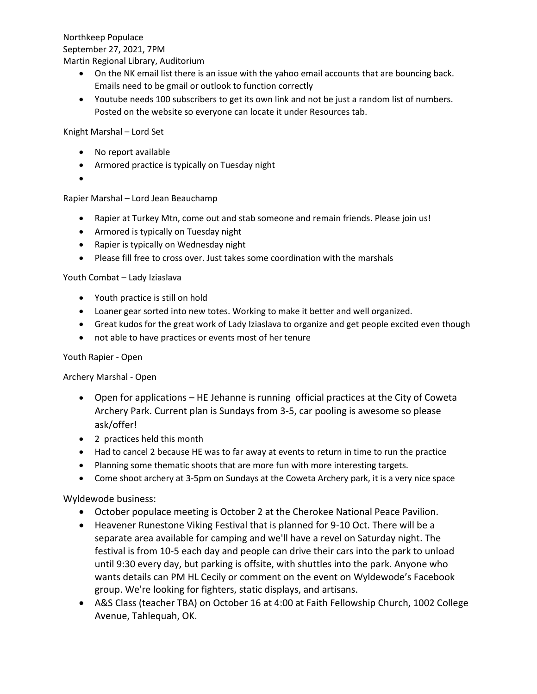Northkeep Populace September 27, 2021, 7PM

Martin Regional Library, Auditorium

- On the NK email list there is an issue with the yahoo email accounts that are bouncing back. Emails need to be gmail or outlook to function correctly
- Youtube needs 100 subscribers to get its own link and not be just a random list of numbers. Posted on the website so everyone can locate it under Resources tab.

Knight Marshal – Lord Set

- No report available
- Armored practice is typically on Tuesday night
- •

Rapier Marshal – Lord Jean Beauchamp

- Rapier at Turkey Mtn, come out and stab someone and remain friends. Please join us!
- Armored is typically on Tuesday night
- Rapier is typically on Wednesday night
- Please fill free to cross over. Just takes some coordination with the marshals

Youth Combat – Lady Iziaslava

- Youth practice is still on hold
- Loaner gear sorted into new totes. Working to make it better and well organized.
- Great kudos for the great work of Lady Iziaslava to organize and get people excited even though
- not able to have practices or events most of her tenure

# Youth Rapier - Open

# Archery Marshal - Open

- Open for applications HE Jehanne is running official practices at the City of Coweta Archery Park. Current plan is Sundays from 3-5, car pooling is awesome so please ask/offer!
- 2 practices held this month
- Had to cancel 2 because HE was to far away at events to return in time to run the practice
- Planning some thematic shoots that are more fun with more interesting targets.
- Come shoot archery at 3-5pm on Sundays at the Coweta Archery park, it is a very nice space

# Wyldewode business:

- October populace meeting is October 2 at the Cherokee National Peace Pavilion.
- Heavener Runestone Viking Festival that is planned for 9-10 Oct. There will be a separate area available for camping and we'll have a revel on Saturday night. The festival is from 10-5 each day and people can drive their cars into the park to unload until 9:30 every day, but parking is offsite, with shuttles into the park. Anyone who wants details can PM HL Cecily or comment on the event on Wyldewode's Facebook group. We're looking for fighters, static displays, and artisans.
- A&S Class (teacher TBA) on October 16 at 4:00 at Faith Fellowship Church, 1002 College Avenue, Tahlequah, OK.